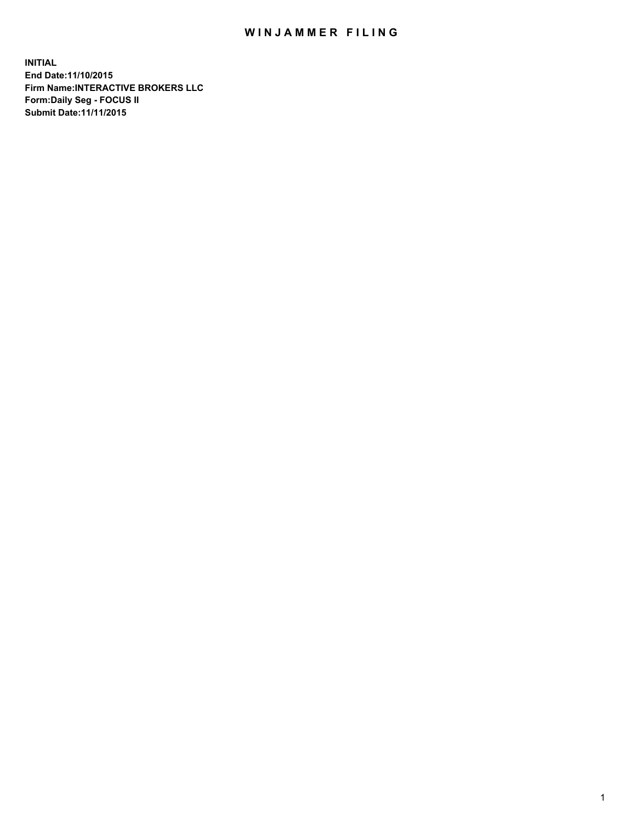## WIN JAMMER FILING

**INITIAL End Date:11/10/2015 Firm Name:INTERACTIVE BROKERS LLC Form:Daily Seg - FOCUS II Submit Date:11/11/2015**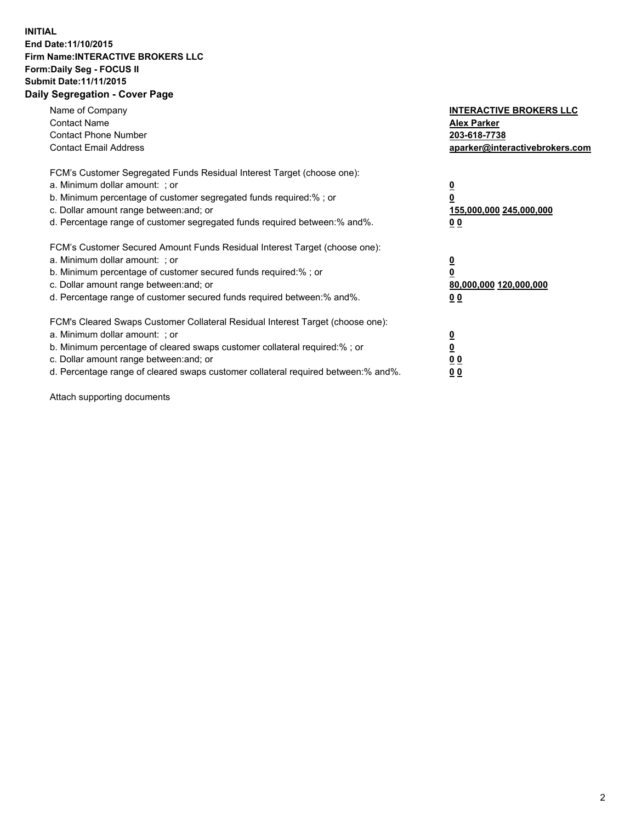## **INITIAL End Date:11/10/2015 Firm Name:INTERACTIVE BROKERS LLC Form:Daily Seg - FOCUS II Submit Date:11/11/2015 Daily Segregation - Cover Page**

| Name of Company<br><b>Contact Name</b><br><b>Contact Phone Number</b><br><b>Contact Email Address</b>                                                                                                                                                                                                                         | <b>INTERACTIVE BROKERS LLC</b><br><b>Alex Parker</b><br>203-618-7738<br>aparker@interactivebrokers.com |
|-------------------------------------------------------------------------------------------------------------------------------------------------------------------------------------------------------------------------------------------------------------------------------------------------------------------------------|--------------------------------------------------------------------------------------------------------|
| FCM's Customer Segregated Funds Residual Interest Target (choose one):<br>a. Minimum dollar amount: ; or<br>b. Minimum percentage of customer segregated funds required:% ; or<br>c. Dollar amount range between: and; or<br>d. Percentage range of customer segregated funds required between:% and%.                        | <u>0</u><br><u>155,000,000 245,000,000</u><br>00                                                       |
| FCM's Customer Secured Amount Funds Residual Interest Target (choose one):<br>a. Minimum dollar amount: ; or<br>b. Minimum percentage of customer secured funds required:% ; or<br>c. Dollar amount range between: and; or<br>d. Percentage range of customer secured funds required between: % and %.                        | $\overline{\mathbf{0}}$<br>80,000,000 120,000,000<br>00                                                |
| FCM's Cleared Swaps Customer Collateral Residual Interest Target (choose one):<br>a. Minimum dollar amount: ; or<br>b. Minimum percentage of cleared swaps customer collateral required:%; or<br>c. Dollar amount range between: and; or<br>d. Percentage range of cleared swaps customer collateral required between:% and%. | <u>0</u><br>0 <sub>0</sub><br><u>00</u>                                                                |

Attach supporting documents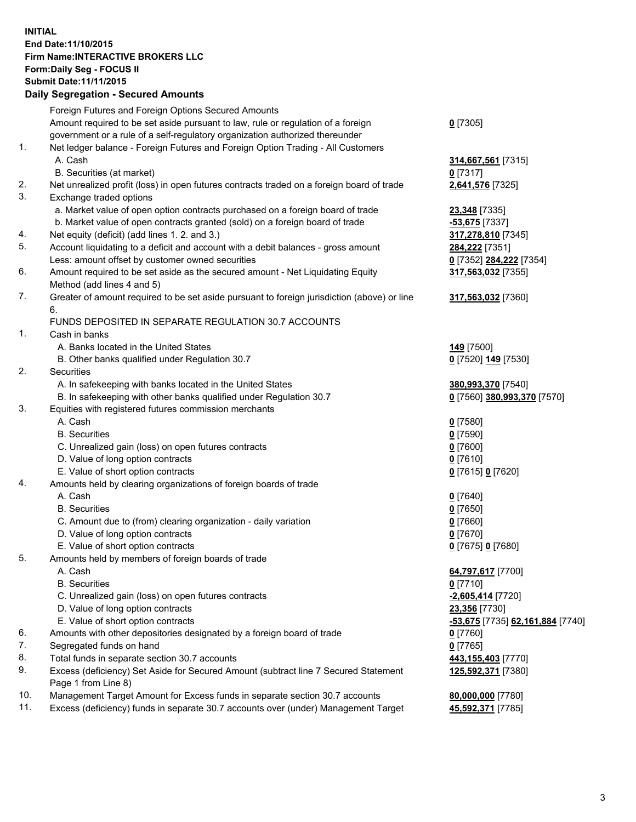## **INITIAL End Date:11/10/2015 Firm Name:INTERACTIVE BROKERS LLC Form:Daily Seg - FOCUS II Submit Date:11/11/2015 Daily Segregation - Secured Amounts**

|     | Daily Segregation - Secured Amounts                                                         |                                  |
|-----|---------------------------------------------------------------------------------------------|----------------------------------|
|     | Foreign Futures and Foreign Options Secured Amounts                                         |                                  |
|     | Amount required to be set aside pursuant to law, rule or regulation of a foreign            | $0$ [7305]                       |
|     | government or a rule of a self-regulatory organization authorized thereunder                |                                  |
| 1.  | Net ledger balance - Foreign Futures and Foreign Option Trading - All Customers             |                                  |
|     | A. Cash                                                                                     | 314,667,561 [7315]               |
|     | B. Securities (at market)                                                                   | 0 [7317]                         |
| 2.  | Net unrealized profit (loss) in open futures contracts traded on a foreign board of trade   | 2,641,576 [7325]                 |
| 3.  | Exchange traded options                                                                     |                                  |
|     | a. Market value of open option contracts purchased on a foreign board of trade              | 23,348 [7335]                    |
|     | b. Market value of open contracts granted (sold) on a foreign board of trade                | -53,675 [7337]                   |
| 4.  | Net equity (deficit) (add lines 1.2. and 3.)                                                | 317,278,810 [7345]               |
| 5.  | Account liquidating to a deficit and account with a debit balances - gross amount           | 284,222 [7351]                   |
|     | Less: amount offset by customer owned securities                                            | 0 [7352] 284,222 [7354]          |
| 6.  | Amount required to be set aside as the secured amount - Net Liquidating Equity              |                                  |
|     |                                                                                             | 317,563,032 [7355]               |
| 7.  | Method (add lines 4 and 5)                                                                  |                                  |
|     | Greater of amount required to be set aside pursuant to foreign jurisdiction (above) or line | 317,563,032 [7360]               |
|     | 6.                                                                                          |                                  |
|     | FUNDS DEPOSITED IN SEPARATE REGULATION 30.7 ACCOUNTS                                        |                                  |
| 1.  | Cash in banks                                                                               |                                  |
|     | A. Banks located in the United States                                                       | <b>149</b> [7500]                |
|     | B. Other banks qualified under Regulation 30.7                                              | 0 [7520] 149 [7530]              |
| 2.  | Securities                                                                                  |                                  |
|     | A. In safekeeping with banks located in the United States                                   | 380,993,370 [7540]               |
|     | B. In safekeeping with other banks qualified under Regulation 30.7                          | 0 [7560] 380,993,370 [7570]      |
| 3.  | Equities with registered futures commission merchants                                       |                                  |
|     | A. Cash                                                                                     | $0$ [7580]                       |
|     | <b>B.</b> Securities                                                                        | $0$ [7590]                       |
|     | C. Unrealized gain (loss) on open futures contracts                                         | $0$ [7600]                       |
|     | D. Value of long option contracts                                                           | $0$ [7610]                       |
|     | E. Value of short option contracts                                                          | 0 [7615] 0 [7620]                |
| 4.  | Amounts held by clearing organizations of foreign boards of trade                           |                                  |
|     | A. Cash                                                                                     | $0$ [7640]                       |
|     | <b>B.</b> Securities                                                                        | $0$ [7650]                       |
|     | C. Amount due to (from) clearing organization - daily variation                             | $0$ [7660]                       |
|     | D. Value of long option contracts                                                           | $0$ [7670]                       |
|     | E. Value of short option contracts                                                          | 0 [7675] 0 [7680]                |
| 5.  | Amounts held by members of foreign boards of trade                                          |                                  |
|     | A. Cash                                                                                     | 64,797,617 [7700]                |
|     | <b>B.</b> Securities                                                                        | $0$ [7710]                       |
|     | C. Unrealized gain (loss) on open futures contracts                                         | $-2,605,414$ [7720]              |
|     | D. Value of long option contracts                                                           | 23,356 [7730]                    |
|     | E. Value of short option contracts                                                          | -53,675 [7735] 62,161,884 [7740] |
| 6.  | Amounts with other depositories designated by a foreign board of trade                      | 0 [7760]                         |
| 7.  | Segregated funds on hand                                                                    | $0$ [7765]                       |
| 8.  | Total funds in separate section 30.7 accounts                                               | 443,155,403 [7770]               |
| 9.  | Excess (deficiency) Set Aside for Secured Amount (subtract line 7 Secured Statement         | 125,592,371 [7380]               |
|     | Page 1 from Line 8)                                                                         |                                  |
| 10. | Management Target Amount for Excess funds in separate section 30.7 accounts                 | 80,000,000 [7780]                |
| 11. | Excess (deficiency) funds in separate 30.7 accounts over (under) Management Target          | 45,592,371 [7785]                |
|     |                                                                                             |                                  |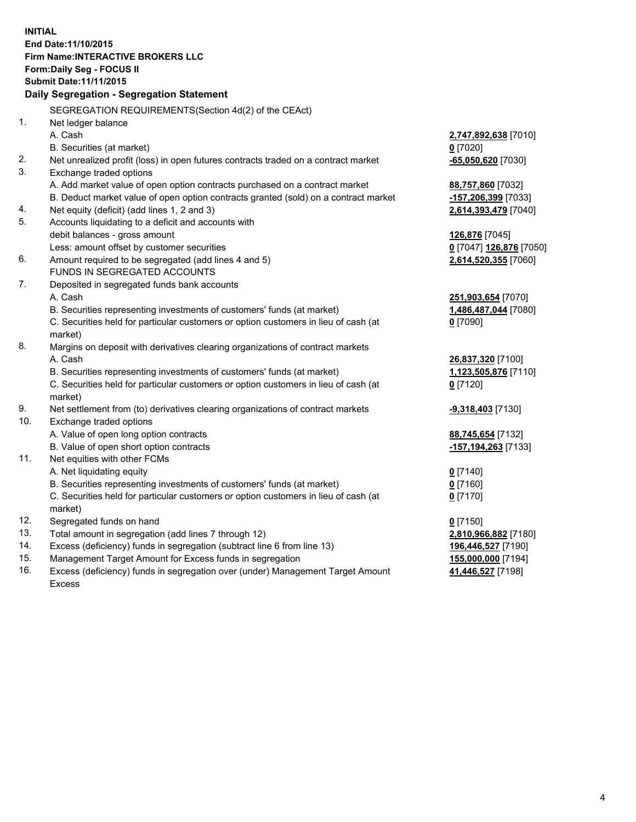**INITIAL End Date:11/10/2015 Firm Name:INTERACTIVE BROKERS LLC Form:Daily Seg - FOCUS II Submit Date:11/11/2015 Daily Segregation - Segregation Statement** SEGREGATION REQUIREMENTS(Section 4d(2) of the CEAct) 1. Net ledger balance A. Cash **2,747,892,638** [7010] B. Securities (at market) **0** [7020] 2. Net unrealized profit (loss) in open futures contracts traded on a contract market **-65,050,620** [7030] 3. Exchange traded options A. Add market value of open option contracts purchased on a contract market **88,757,860** [7032] B. Deduct market value of open option contracts granted (sold) on a contract market **-157,206,399** [7033] 4. Net equity (deficit) (add lines 1, 2 and 3) **2,614,393,479** [7040] 5. Accounts liquidating to a deficit and accounts with debit balances - gross amount **126,876** [7045] Less: amount offset by customer securities **0** [7047] **126,876** [7050] 6. Amount required to be segregated (add lines 4 and 5) **2,614,520,355** [7060] FUNDS IN SEGREGATED ACCOUNTS 7. Deposited in segregated funds bank accounts A. Cash **251,903,654** [7070] B. Securities representing investments of customers' funds (at market) **1,486,487,044** [7080] C. Securities held for particular customers or option customers in lieu of cash (at market) **0** [7090] 8. Margins on deposit with derivatives clearing organizations of contract markets A. Cash **26,837,320** [7100] B. Securities representing investments of customers' funds (at market) **1,123,505,876** [7110] C. Securities held for particular customers or option customers in lieu of cash (at market) **0** [7120] 9. Net settlement from (to) derivatives clearing organizations of contract markets **-9,318,403** [7130] 10. Exchange traded options A. Value of open long option contracts **88,745,654** [7132] B. Value of open short option contracts **-157,194,263** [7133] 11. Net equities with other FCMs A. Net liquidating equity **0** [7140] B. Securities representing investments of customers' funds (at market) **0** [7160] C. Securities held for particular customers or option customers in lieu of cash (at market) **0** [7170] 12. Segregated funds on hand **0** [7150] 13. Total amount in segregation (add lines 7 through 12) **2,810,966,882** [7180] 14. Excess (deficiency) funds in segregation (subtract line 6 from line 13) **196,446,527** [7190] 15. Management Target Amount for Excess funds in segregation **155,000,000** [7194] **41,446,527** [7198]

16. Excess (deficiency) funds in segregation over (under) Management Target Amount Excess